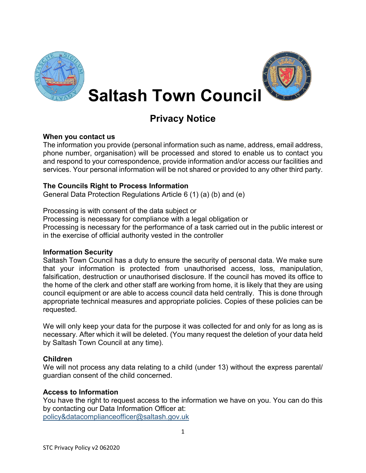



**Saltash Town Council**

# **Privacy Notice**

## **When you contact us**

The information you provide (personal information such as name, address, email address, phone number, organisation) will be processed and stored to enable us to contact you and respond to your correspondence, provide information and/or access our facilities and services. Your personal information will be not shared or provided to any other third party.

# **The Councils Right to Process Information**

General Data Protection Regulations Article 6 (1) (a) (b) and (e)

Processing is with consent of the data subject or

Processing is necessary for compliance with a legal obligation or

Processing is necessary for the performance of a task carried out in the public interest or in the exercise of official authority vested in the controller

## **Information Security**

Saltash Town Council has a duty to ensure the security of personal data. We make sure that your information is protected from unauthorised access, loss, manipulation, falsification, destruction or unauthorised disclosure. If the council has moved its office to the home of the clerk and other staff are working from home, it is likely that they are using council equipment or are able to access council data held centrally. This is done through appropriate technical measures and appropriate policies. Copies of these policies can be requested.

We will only keep your data for the purpose it was collected for and only for as long as is necessary. After which it will be deleted. (You many request the deletion of your data held by Saltash Town Council at any time).

# **Children**

We will not process any data relating to a child (under 13) without the express parental/ guardian consent of the child concerned.

## **Access to Information**

You have the right to request access to the information we have on you. You can do this by contacting our Data Information Officer at: [policy&datacomplianceofficer@saltash.gov.uk](mailto:policy&datacomplianceofficer@saltash.gov.uk)